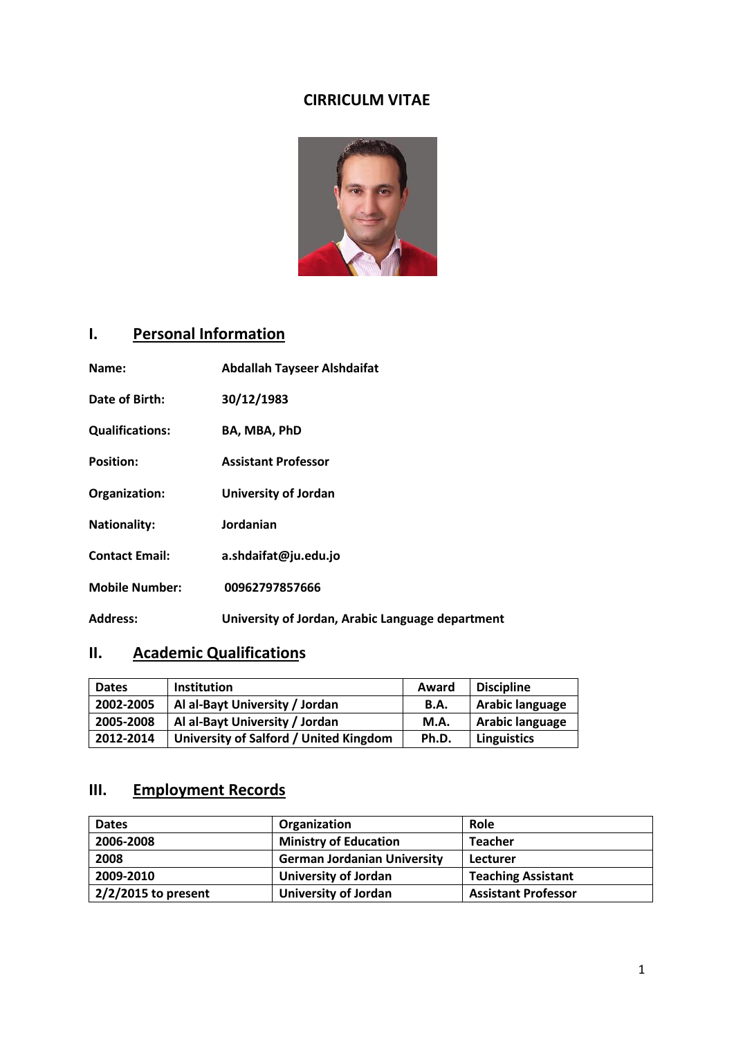## **CIRRICULM VITAE**



# **I. Personal Information**

| Name:                  | <b>Abdallah Tayseer Alshdaifat</b>               |
|------------------------|--------------------------------------------------|
| Date of Birth:         | 30/12/1983                                       |
| <b>Qualifications:</b> | BA, MBA, PhD                                     |
| <b>Position:</b>       | <b>Assistant Professor</b>                       |
| Organization:          | University of Jordan                             |
| <b>Nationality:</b>    | Jordanian                                        |
| <b>Contact Email:</b>  | a.shdaifat@ju.edu.jo                             |
| <b>Mobile Number:</b>  | 00962797857666                                   |
| <b>Address:</b>        | University of Jordan, Arabic Language department |

## **II. Academic Qualifications**

| <b>Dates</b> | <b>Institution</b>                     | Award       | <b>Discipline</b>  |
|--------------|----------------------------------------|-------------|--------------------|
| 2002-2005    | Al al-Bayt University / Jordan         | <b>B.A.</b> | Arabic language    |
| 2005-2008    | Al al-Bayt University / Jordan         | M.A.        | Arabic language    |
| 2012-2014    | University of Salford / United Kingdom | Ph.D.       | <b>Linguistics</b> |

## **III. Employment Records**

| <b>Dates</b>           | Organization                       | Role                       |
|------------------------|------------------------------------|----------------------------|
| 2006-2008              | <b>Ministry of Education</b>       | <b>Teacher</b>             |
| 2008                   | <b>German Jordanian University</b> | Lecturer                   |
| 2009-2010              | <b>University of Jordan</b>        | <b>Teaching Assistant</b>  |
| $12/2/2015$ to present | <b>University of Jordan</b>        | <b>Assistant Professor</b> |